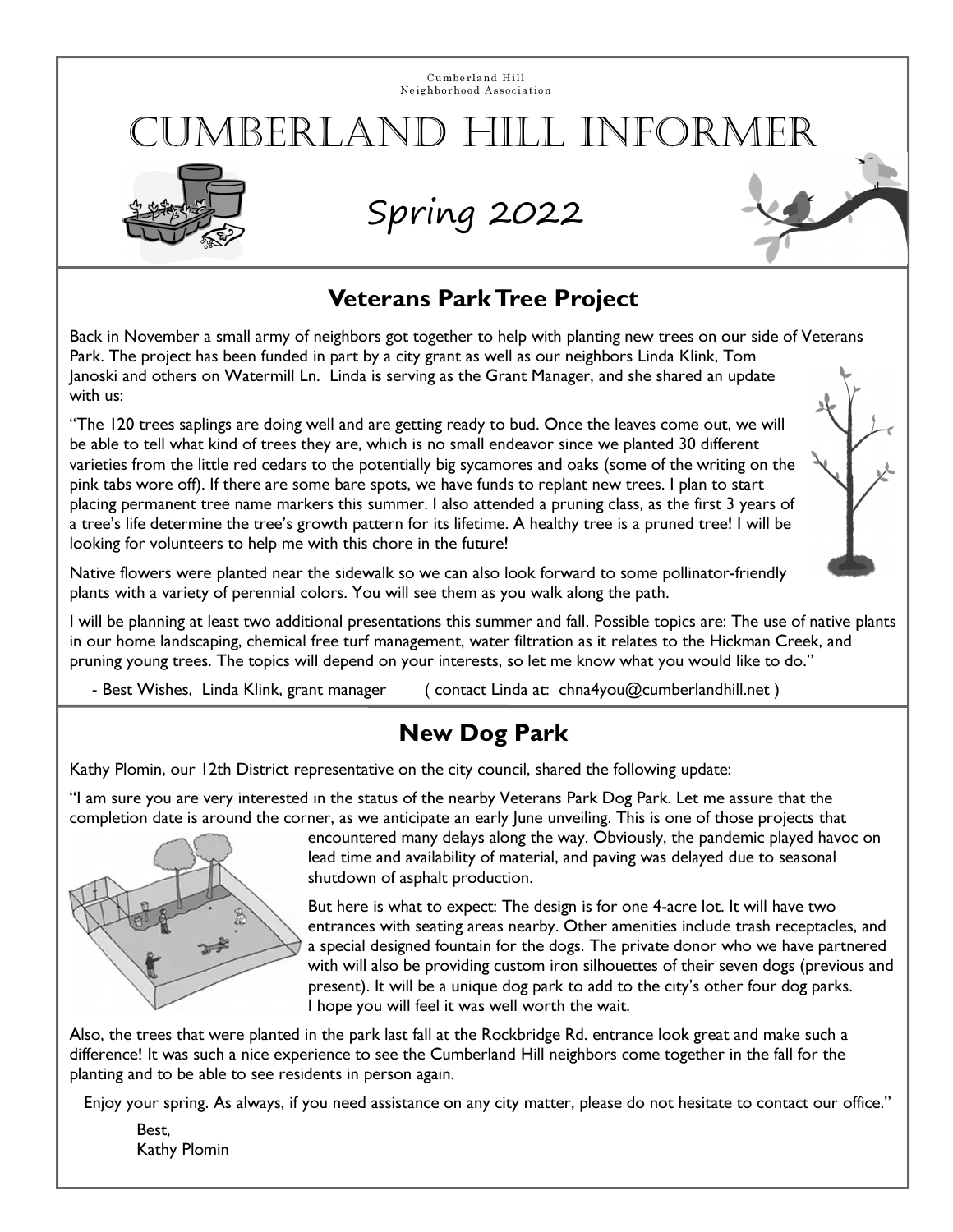Cumberland Hill Neighborhood Association

# JMBERLAND HILL INFORMER



# Spring 2022



#### Veterans Park Tree Project

Back in November a small army of neighbors got together to help with planting new trees on our side of Veterans Park. The project has been funded in part by a city grant as well as our neighbors Linda Klink, Tom Janoski and others on Watermill Ln. Linda is serving as the Grant Manager, and she shared an update with us:

"The 120 trees saplings are doing well and are getting ready to bud. Once the leaves come out, we will be able to tell what kind of trees they are, which is no small endeavor since we planted 30 different varieties from the little red cedars to the potentially big sycamores and oaks (some of the writing on the pink tabs wore off). If there are some bare spots, we have funds to replant new trees. I plan to start placing permanent tree name markers this summer. I also attended a pruning class, as the first 3 years of a tree's life determine the tree's growth pattern for its lifetime. A healthy tree is a pruned tree! I will be looking for volunteers to help me with this chore in the future!



Native flowers were planted near the sidewalk so we can also look forward to some pollinator-friendly plants with a variety of perennial colors. You will see them as you walk along the path.

I will be planning at least two additional presentations this summer and fall. Possible topics are: The use of native plants in our home landscaping, chemical free turf management, water filtration as it relates to the Hickman Creek, and pruning young trees. The topics will depend on your interests, so let me know what you would like to do."

- Best Wishes, Linda Klink, grant manager ( contact Linda at: chna4you@cumberlandhill.net )

### New Dog Park

Kathy Plomin, our 12th District representative on the city council, shared the following update:

"I am sure you are very interested in the status of the nearby Veterans Park Dog Park. Let me assure that the completion date is around the corner, as we anticipate an early June unveiling. This is one of those projects that



encountered many delays along the way. Obviously, the pandemic played havoc on lead time and availability of material, and paving was delayed due to seasonal shutdown of asphalt production.

But here is what to expect: The design is for one 4-acre lot. It will have two entrances with seating areas nearby. Other amenities include trash receptacles, and a special designed fountain for the dogs. The private donor who we have partnered with will also be providing custom iron silhouettes of their seven dogs (previous and present). It will be a unique dog park to add to the city's other four dog parks. I hope you will feel it was well worth the wait.

Also, the trees that were planted in the park last fall at the Rockbridge Rd. entrance look great and make such a difference! It was such a nice experience to see the Cumberland Hill neighbors come together in the fall for the planting and to be able to see residents in person again.

Enjoy your spring. As always, if you need assistance on any city matter, please do not hesitate to contact our office."

Best, Kathy Plomin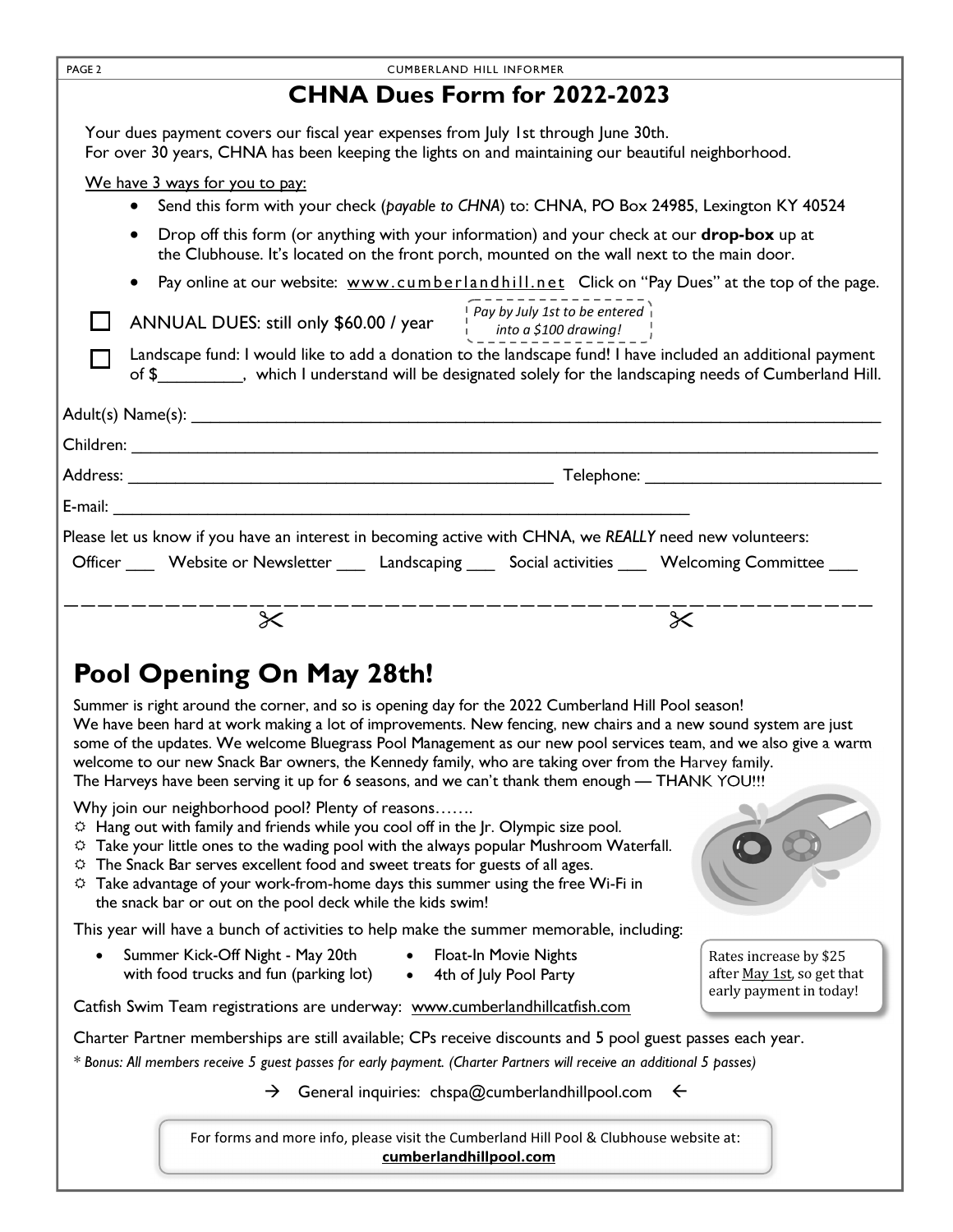| PAGE <sub>2</sub><br><b>CUMBERLAND HILL INFORMER</b>                                                                                                                                                                                |  |  |
|-------------------------------------------------------------------------------------------------------------------------------------------------------------------------------------------------------------------------------------|--|--|
| <b>CHNA Dues Form for 2022-2023</b>                                                                                                                                                                                                 |  |  |
| Your dues payment covers our fiscal year expenses from July 1st through June 30th.<br>For over 30 years, CHNA has been keeping the lights on and maintaining our beautiful neighborhood.                                            |  |  |
| We have 3 ways for you to pay:                                                                                                                                                                                                      |  |  |
| Send this form with your check (payable to CHNA) to: CHNA, PO Box 24985, Lexington KY 40524                                                                                                                                         |  |  |
| Drop off this form (or anything with your information) and your check at our <b>drop-box</b> up at<br>the Clubhouse. It's located on the front porch, mounted on the wall next to the main door.                                    |  |  |
| Pay online at our website: www.cumberlandhill.net Click on "Pay Dues" at the top of the page.                                                                                                                                       |  |  |
| ANNUAL DUES: still only \$60.00 / year $\left[\begin{array}{c} \text{Pay by July 1st to be entered} \\ \text{into a $100 drawing! \end{array}\right]$                                                                               |  |  |
| Landscape fund: I would like to add a donation to the landscape fund! I have included an additional payment<br>of \$___________, which I understand will be designated solely for the landscaping needs of Cumberland Hill.         |  |  |
|                                                                                                                                                                                                                                     |  |  |
|                                                                                                                                                                                                                                     |  |  |
|                                                                                                                                                                                                                                     |  |  |
|                                                                                                                                                                                                                                     |  |  |
| Please let us know if you have an interest in becoming active with CHNA, we REALLY need new volunteers:                                                                                                                             |  |  |
| Officer _____ Website or Newsletter ______ Landscaping ______ Social activities _____ Welcoming Committee ____                                                                                                                      |  |  |
|                                                                                                                                                                                                                                     |  |  |
| $\boldsymbol{\times}$<br>$\times$                                                                                                                                                                                                   |  |  |
| Pool Opening On May 28th!                                                                                                                                                                                                           |  |  |
| Summer is right around the corner, and so is opening day for the 2022 Cumberland Hill Pool season!                                                                                                                                  |  |  |
| We have been hard at work making a lot of improvements. New fencing, new chairs and a new sound system are just<br>some of the updates. We welcome Bluegrass Pool Management as our new pool services team, and we also give a warm |  |  |
| welcome to our new Snack Bar owners, the Kennedy family, who are taking over from the Harvey family.                                                                                                                                |  |  |
| The Harveys have been serving it up for 6 seasons, and we can't thank them enough — THANK YOU!!!                                                                                                                                    |  |  |
| Why join our neighborhood pool? Plenty of reasons<br>$\Leftrightarrow$ Hang out with family and friends while you cool off in the Jr. Olympic size pool.                                                                            |  |  |
| <sup><math>\circ</math></sup> Take your little ones to the wading pool with the always popular Mushroom Waterfall.                                                                                                                  |  |  |
| $\circ$ The Snack Bar serves excellent food and sweet treats for guests of all ages.<br><sup><math>\circ</math></sup> Take advantage of your work-from-home days this summer using the free Wi-Fi in                                |  |  |
| the snack bar or out on the pool deck while the kids swim!                                                                                                                                                                          |  |  |
| This year will have a bunch of activities to help make the summer memorable, including:                                                                                                                                             |  |  |
| Summer Kick-Off Night - May 20th<br><b>Float-In Movie Nights</b><br>Rates increase by \$25<br>with food trucks and fun (parking lot)<br>4th of July Pool Party<br>after May 1st, so get that                                        |  |  |
| early payment in today!<br>Catfish Swim Team registrations are underway: www.cumberlandhillcatfish.com                                                                                                                              |  |  |
| Charter Partner memberships are still available; CPs receive discounts and 5 pool guest passes each year.                                                                                                                           |  |  |
| * Bonus: All members receive 5 guest passes for early payment. (Charter Partners will receive an additional 5 passes)                                                                                                               |  |  |
| General inquiries: chspa@cumberlandhillpool.com $\leftarrow$<br>$\rightarrow$                                                                                                                                                       |  |  |
| For forms and more info, please visit the Cumberland Hill Pool & Clubhouse website at:<br>cumberlandhillpool.com                                                                                                                    |  |  |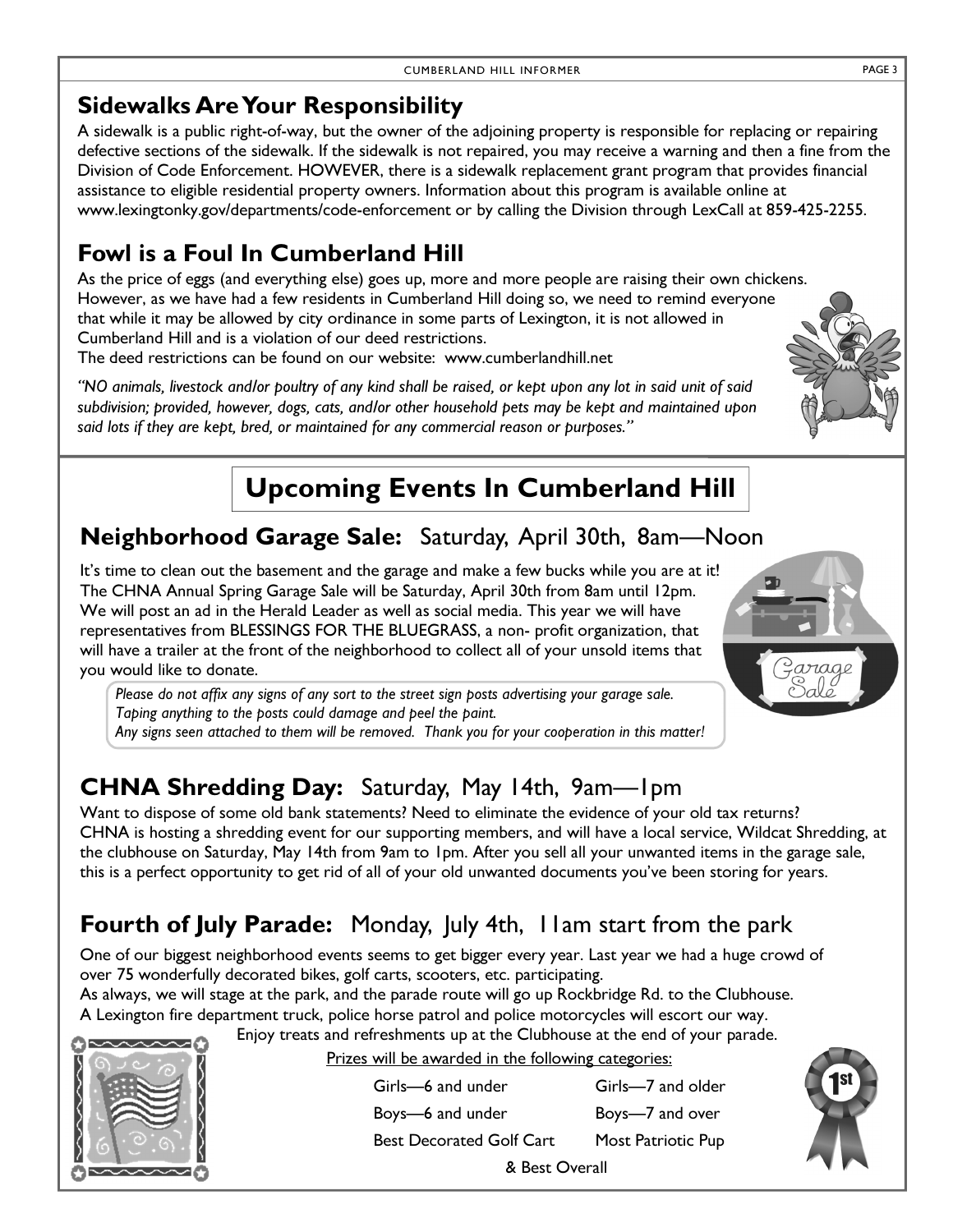### Sidewalks Are Your Responsibility

A sidewalk is a public right-of-way, but the owner of the adjoining property is responsible for replacing or repairing defective sections of the sidewalk. If the sidewalk is not repaired, you may receive a warning and then a fine from the Division of Code Enforcement. HOWEVER, there is a sidewalk replacement grant program that provides financial assistance to eligible residential property owners. Information about this program is available online at www.lexingtonky.gov/departments/code-enforcement or by calling the Division through LexCall at 859-425-2255.

## Fowl is a Foul In Cumberland Hill

As the price of eggs (and everything else) goes up, more and more people are raising their own chickens. However, as we have had a few residents in Cumberland Hill doing so, we need to remind everyone that while it may be allowed by city ordinance in some parts of Lexington, it is not allowed in Cumberland Hill and is a violation of our deed restrictions.

The deed restrictions can be found on our website: www.cumberlandhill.net

"NO animals, livestock and/or poultry of any kind shall be raised, or kept upon any lot in said unit of said subdivision; provided, however, dogs, cats, and/or other household pets may be kept and maintained upon said lots if they are kept, bred, or maintained for any commercial reason or purposes."

# Upcoming Events In Cumberland Hill

## Neighborhood Garage Sale: Saturday, April 30th, 8am—Noon

It's time to clean out the basement and the garage and make a few bucks while you are at it! The CHNA Annual Spring Garage Sale will be Saturday, April 30th from 8am until 12pm. We will post an ad in the Herald Leader as well as social media. This year we will have representatives from BLESSINGS FOR THE BLUEGRASS, a non- profit organization, that will have a trailer at the front of the neighborhood to collect all of your unsold items that you would like to donate.



# CHNA Shredding Day: Saturday, May 14th, 9am—1pm

Want to dispose of some old bank statements? Need to eliminate the evidence of your old tax returns? CHNA is hosting a shredding event for our supporting members, and will have a local service, Wildcat Shredding, at the clubhouse on Saturday, May 14th from 9am to 1pm. After you sell all your unwanted items in the garage sale, this is a perfect opportunity to get rid of all of your old unwanted documents you've been storing for years.

# Fourth of July Parade: Monday, July 4th, I lam start from the park

One of our biggest neighborhood events seems to get bigger every year. Last year we had a huge crowd of over 75 wonderfully decorated bikes, golf carts, scooters, etc. participating.

As always, we will stage at the park, and the parade route will go up Rockbridge Rd. to the Clubhouse. A Lexington fire department truck, police horse patrol and police motorcycles will escort our way.

Enjoy treats and refreshments up at the Clubhouse at the end of your parade.



Prizes will be awarded in the following categories:

Girls—6 and under Girls—7 and older Boys—6 and under Boys—7 and over Best Decorated Golf Cart Most Patriotic Pup Ì & Best Overall